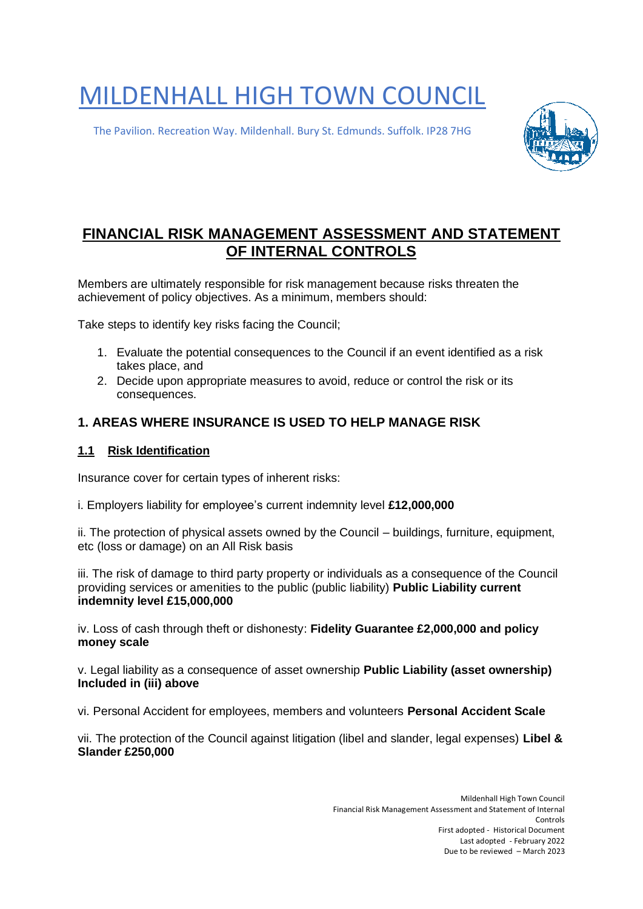# MILDENHALL HIGH TOWN COUNCIL

The Pavilion. Recreation Way. Mildenhall. Bury St. Edmunds. Suffolk. IP28 7HG



# **FINANCIAL RISK MANAGEMENT ASSESSMENT AND STATEMENT OF INTERNAL CONTROLS**

Members are ultimately responsible for risk management because risks threaten the achievement of policy objectives. As a minimum, members should:

Take steps to identify key risks facing the Council;

- 1. Evaluate the potential consequences to the Council if an event identified as a risk takes place, and
- 2. Decide upon appropriate measures to avoid, reduce or control the risk or its consequences.

### **1. AREAS WHERE INSURANCE IS USED TO HELP MANAGE RISK**

#### **1.1 Risk Identification**

Insurance cover for certain types of inherent risks:

i. Employers liability for employee's current indemnity level **£12,000,000**

ii. The protection of physical assets owned by the Council – buildings, furniture, equipment, etc (loss or damage) on an All Risk basis

iii. The risk of damage to third party property or individuals as a consequence of the Council providing services or amenities to the public (public liability) **Public Liability current indemnity level £15,000,000** 

iv. Loss of cash through theft or dishonesty: **Fidelity Guarantee £2,000,000 and policy money scale** 

v. Legal liability as a consequence of asset ownership **Public Liability (asset ownership) Included in (iii) above** 

vi. Personal Accident for employees, members and volunteers **Personal Accident Scale** 

vii. The protection of the Council against litigation (libel and slander, legal expenses) **Libel & Slander £250,000**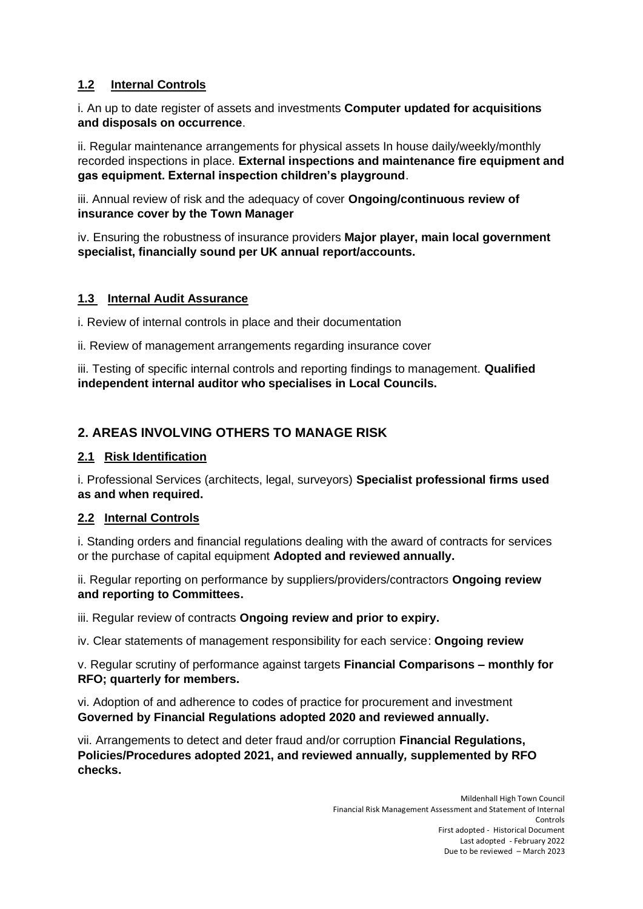#### **1.2 Internal Controls**

i. An up to date register of assets and investments **Computer updated for acquisitions and disposals on occurrence**.

ii. Regular maintenance arrangements for physical assets In house daily/weekly/monthly recorded inspections in place. **External inspections and maintenance fire equipment and gas equipment. External inspection children's playground**.

iii. Annual review of risk and the adequacy of cover **Ongoing/continuous review of insurance cover by the Town Manager**

iv. Ensuring the robustness of insurance providers **Major player, main local government specialist, financially sound per UK annual report/accounts.** 

#### **1.3 Internal Audit Assurance**

i. Review of internal controls in place and their documentation

ii. Review of management arrangements regarding insurance cover

iii. Testing of specific internal controls and reporting findings to management. **Qualified independent internal auditor who specialises in Local Councils.** 

# **2. AREAS INVOLVING OTHERS TO MANAGE RISK**

#### **2.1 Risk Identification**

i. Professional Services (architects, legal, surveyors) **Specialist professional firms used as and when required.** 

#### **2.2 Internal Controls**

i. Standing orders and financial regulations dealing with the award of contracts for services or the purchase of capital equipment **Adopted and reviewed annually.**

ii. Regular reporting on performance by suppliers/providers/contractors **Ongoing review and reporting to Committees.**

iii. Regular review of contracts **Ongoing review and prior to expiry.**

iv. Clear statements of management responsibility for each service: **Ongoing review**

v. Regular scrutiny of performance against targets **Financial Comparisons – monthly for RFO; quarterly for members.** 

vi. Adoption of and adherence to codes of practice for procurement and investment **Governed by Financial Regulations adopted 2020 and reviewed annually.**

vii. Arrangements to detect and deter fraud and/or corruption **Financial Regulations, Policies/Procedures adopted 2021, and reviewed annually***,* **supplemented by RFO checks.**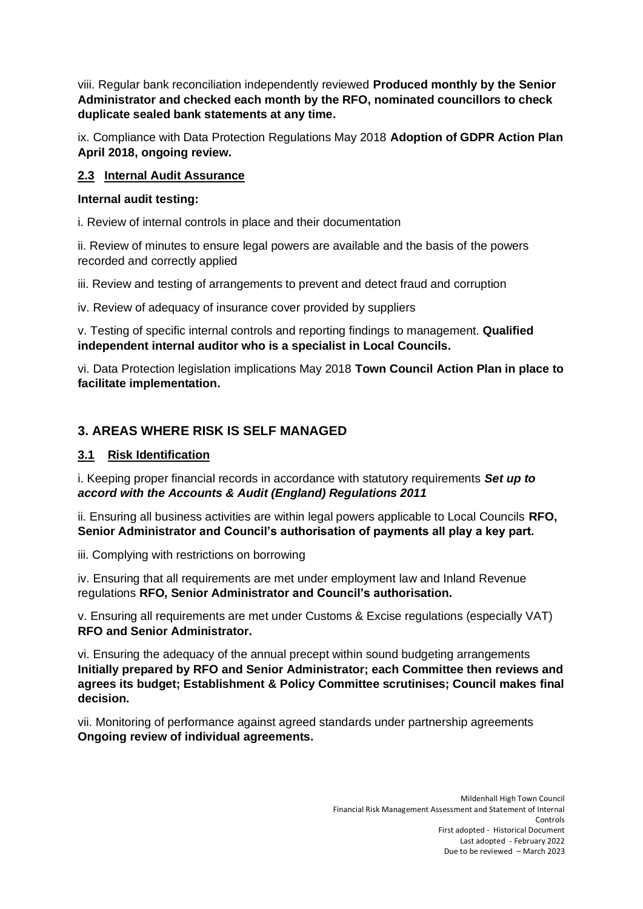viii. Regular bank reconciliation independently reviewed **Produced monthly by the Senior Administrator and checked each month by the RFO, nominated councillors to check duplicate sealed bank statements at any time.**

ix. Compliance with Data Protection Regulations May 2018 **Adoption of GDPR Action Plan April 2018, ongoing review.**

#### **2.3 Internal Audit Assurance**

#### **Internal audit testing:**

i. Review of internal controls in place and their documentation

ii. Review of minutes to ensure legal powers are available and the basis of the powers recorded and correctly applied

iii. Review and testing of arrangements to prevent and detect fraud and corruption

iv. Review of adequacy of insurance cover provided by suppliers

v. Testing of specific internal controls and reporting findings to management. **Qualified independent internal auditor who is a specialist in Local Councils.**

vi. Data Protection legislation implications May 2018 **Town Council Action Plan in place to facilitate implementation.**

# **3. AREAS WHERE RISK IS SELF MANAGED**

#### **3.1 Risk Identification**

i. Keeping proper financial records in accordance with statutory requirements *Set up to accord with the Accounts & Audit (England) Regulations 2011* 

ii. Ensuring all business activities are within legal powers applicable to Local Councils **RFO, Senior Administrator and Council's authorisation of payments all play a key part.** 

iii. Complying with restrictions on borrowing

iv. Ensuring that all requirements are met under employment law and Inland Revenue regulations **RFO, Senior Administrator and Council's authorisation.**

v. Ensuring all requirements are met under Customs & Excise regulations (especially VAT) **RFO and Senior Administrator.**

vi. Ensuring the adequacy of the annual precept within sound budgeting arrangements **Initially prepared by RFO and Senior Administrator; each Committee then reviews and agrees its budget; Establishment & Policy Committee scrutinises; Council makes final decision.** 

vii. Monitoring of performance against agreed standards under partnership agreements **Ongoing review of individual agreements.**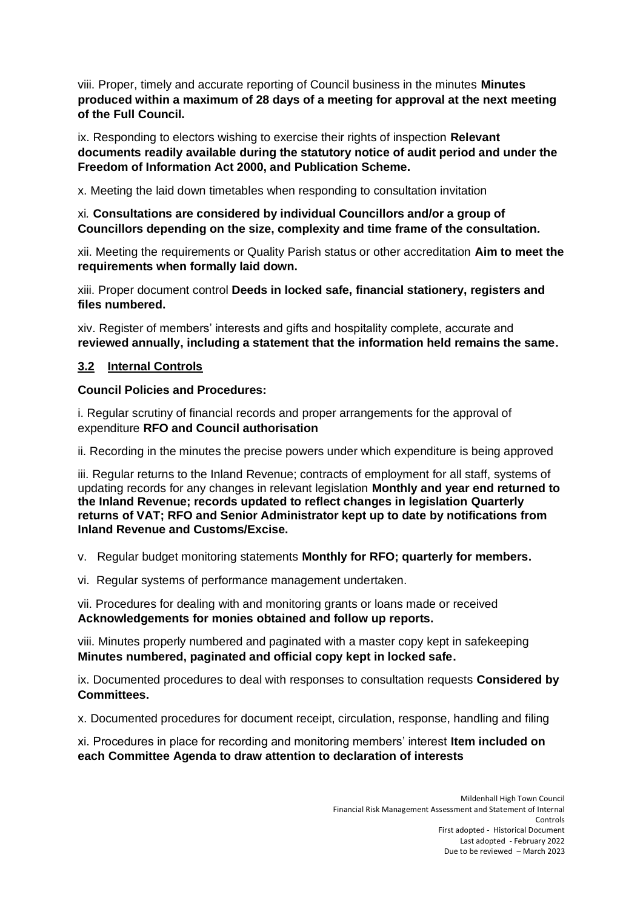viii. Proper, timely and accurate reporting of Council business in the minutes **Minutes produced within a maximum of 28 days of a meeting for approval at the next meeting of the Full Council.** 

ix. Responding to electors wishing to exercise their rights of inspection **Relevant documents readily available during the statutory notice of audit period and under the Freedom of Information Act 2000, and Publication Scheme.**

x. Meeting the laid down timetables when responding to consultation invitation

#### xi*.* **Consultations are considered by individual Councillors and/or a group of Councillors depending on the size, complexity and time frame of the consultation***.*

xii. Meeting the requirements or Quality Parish status or other accreditation **Aim to meet the requirements when formally laid down.** 

xiii. Proper document control **Deeds in locked safe, financial stationery, registers and files numbered.**

xiv. Register of members' interests and gifts and hospitality complete, accurate and **reviewed annually, including a statement that the information held remains the same.**

#### **3.2 Internal Controls**

#### **Council Policies and Procedures:**

i. Regular scrutiny of financial records and proper arrangements for the approval of expenditure **RFO and Council authorisation** 

ii. Recording in the minutes the precise powers under which expenditure is being approved

iii. Regular returns to the Inland Revenue; contracts of employment for all staff, systems of updating records for any changes in relevant legislation **Monthly and year end returned to the Inland Revenue; records updated to reflect changes in legislation Quarterly returns of VAT; RFO and Senior Administrator kept up to date by notifications from Inland Revenue and Customs/Excise.** 

v. Regular budget monitoring statements **Monthly for RFO; quarterly for members.**

vi. Regular systems of performance management undertaken.

vii. Procedures for dealing with and monitoring grants or loans made or received **Acknowledgements for monies obtained and follow up reports.**

viii. Minutes properly numbered and paginated with a master copy kept in safekeeping **Minutes numbered, paginated and official copy kept in locked safe.**

ix. Documented procedures to deal with responses to consultation requests **Considered by Committees.**

x. Documented procedures for document receipt, circulation, response, handling and filing

xi. Procedures in place for recording and monitoring members' interest **Item included on each Committee Agenda to draw attention to declaration of interests**